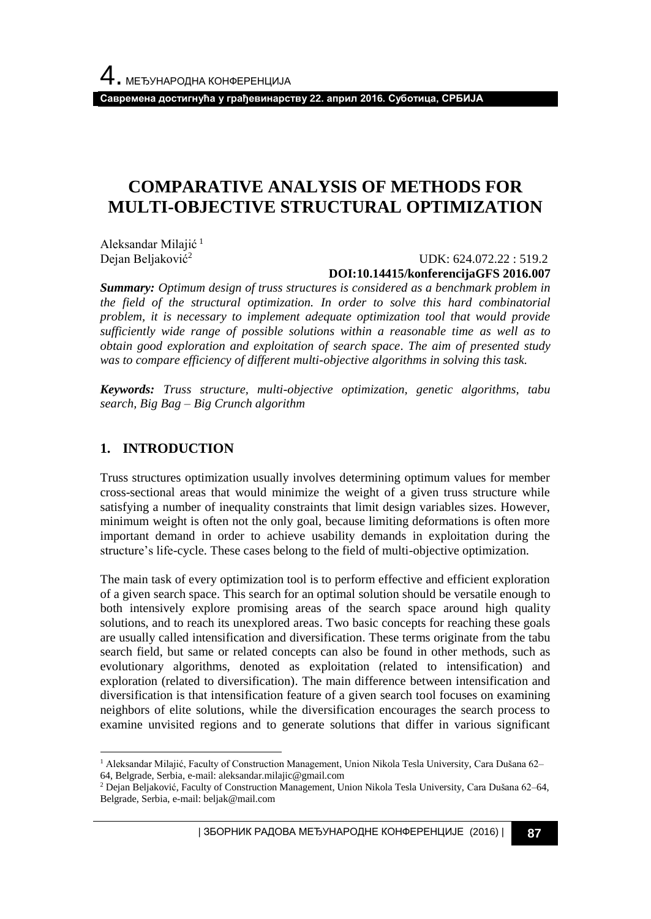**Савремена достигнућа у грађевинарству 22. април 2016. Суботица, СРБИЈА**

## **COMPARATIVE ANALYSIS OF METHODS FOR MULTI-OBJECTIVE STRUCTURAL OPTIMIZATION**

Aleksandar Milajić <sup>1</sup> Dejan Beljaković<sup>2</sup>

#### UDK: 624.072.22 : 519.2 **DOI:10.14415/konferencijaGFS 2016.007**

*Summary: Optimum design of truss structures is cоnsidered as a benchmark problem in the field of the structural optimization. In order to solve this hard combinatorial problem, it is necessary to implement adequate optimization tool that would provide sufficiently wide range of possible solutions within a reasonable time as well as to obtain good exploration and exploitation of search space. The aim of presented study was to compare efficiency of different multi-objective algorithms in solving this task.*

*Keywords: Truss structure, multi-objective optimization, genetic algorithms, tabu search, Big Bag – Big Crunch algorithm*

### **1. INTRODUCTION**

l

Truss structures optimization usually involves determining optimum values for member cross-sectional areas that would minimize the weight of a given truss structure while satisfying a number of inequality constraints that limit design variables sizes. However, minimum weight is often not the only goal, because limiting deformations is often more important demand in order to achieve usability demands in exploitation during the structure's life-cycle. These cases belong to the field of multi-objective optimization.

The main task of every optimization tool is to perform effective and efficient exploration of a given search space. This search for an optimal solution should be versatile enough to both intensively explore promising areas of the search space around high quality solutions, and to reach its unexplored areas. Two basic concepts for reaching these goals are usually called intensification and diversification. These terms originate from the tabu search field, but same or related concepts can also be found in other methods, such as evolutionary algorithms, denoted as exploitation (related to intensification) and exploration (related to diversification). The main difference between intensification and diversification is that intensification feature of a given search tool focuses on examining neighbors of elite solutions, while the diversification encourages the search process to examine unvisited regions and to generate solutions that differ in various significant

<sup>&</sup>lt;sup>1</sup> Aleksandar Milajić, Faculty of Construction Management, Union Nikola Tesla University, Cara Dušana 62-64, Belgrade, Serbia, e-mail: aleksandar.milajic@gmail.com

<sup>2</sup> Dejan Beljaković, Faculty of Construction Management, Union Nikola Tesla University, Cara Dušana 62–64, Belgrade, Serbia, e-mail: beljak@mail.com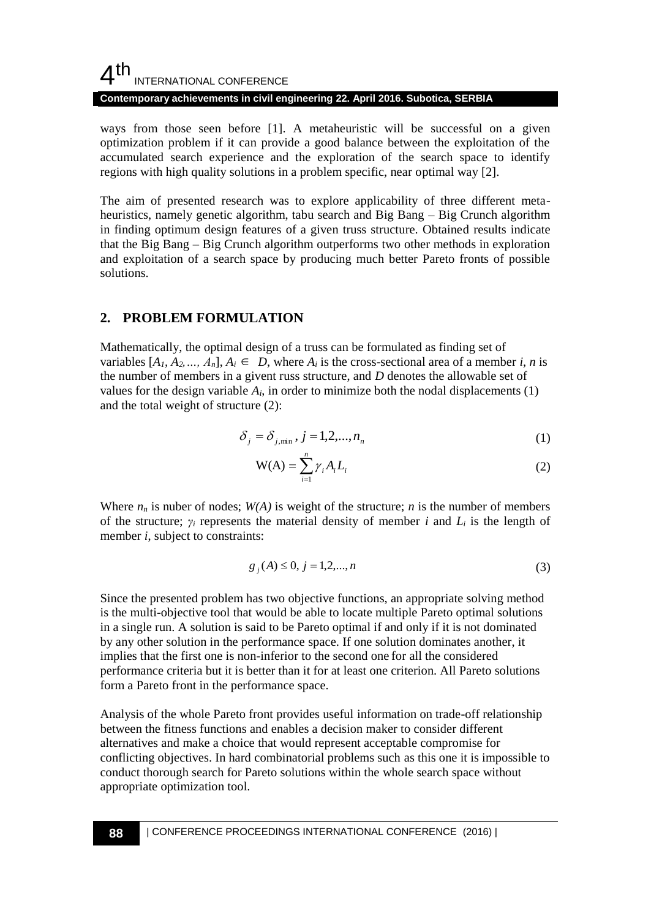#### 4 th INTERNATIONAL CONFERENCE **Contemporary achievements in civil engineering 22. April 2016. Subotica, SERBIA**

ways from those seen before [1]. A metaheuristic will be successful on a given optimization problem if it can provide a good balance between the exploitation of the accumulated search experience and the exploration of the search space to identify regions with high quality solutions in a problem specific, near optimal way [2].

The aim of presented research was to explore applicability of three different metaheuristics, namely genetic algorithm, tabu search and Big Bang – Big Crunch algorithm in finding optimum design features of a given truss structure. Obtained results indicate that the Big Bang – Big Crunch algorithm outperforms two other methods in exploration and exploitation of a search space by producing much better Pareto fronts of possible solutions.

#### **2. PROBLEM FORMULATION**

Mathematically, the optimal design of a truss can be formulated as finding set of variables  $[A_1, A_2, \ldots, A_n], A_i \in D$ , where  $A_i$  is the cross-sectional area of a member *i*, *n* is the number of members in a givent russ structure, and *D* denotes the allowable set of values for the design variable  $A_i$ , in order to minimize both the nodal displacements  $(1)$ and the total weight of structure (2):

$$
\delta_j = \delta_{j,\min}, j = 1,2,\dots,n_n
$$
\n(1)

$$
W(A) = \sum_{i=1}^{n} \gamma_i A_i L_i
$$
 (2)

Where  $n_n$  is nuber of nodes;  $W(A)$  is weight of the structure; *n* is the number of members of the structure; *γ<sup>i</sup>* represents the material density of member *i* and *L<sup>i</sup>* is the length of member *i*, subject to constraints:

$$
g_j(A) \le 0, j = 1, 2, \dots, n \tag{3}
$$

Since the presented problem has two objective functions, an appropriate solving method is the multi-objective tool that would be able to locate multiple Pareto optimal solutions in a single run. A solution is said to be Pareto optimal if and only if it is not dominated by any other solution in the performance space. If one solution dominates another, it implies that the first one is non-inferior to the second one for all the considered performance criteria but it is better than it for at least one criterion. All Pareto solutions form a Pareto front in the performance space.

Analysis of the whole Pareto front provides useful information on trade-off relationship between the fitness functions and enables a decision maker to consider different alternatives and make a choice that would represent acceptable compromise for conflicting objectives. In hard combinatorial problems such as this one it is impossible to conduct thorough search for Pareto solutions within the whole search space without appropriate optimization tool.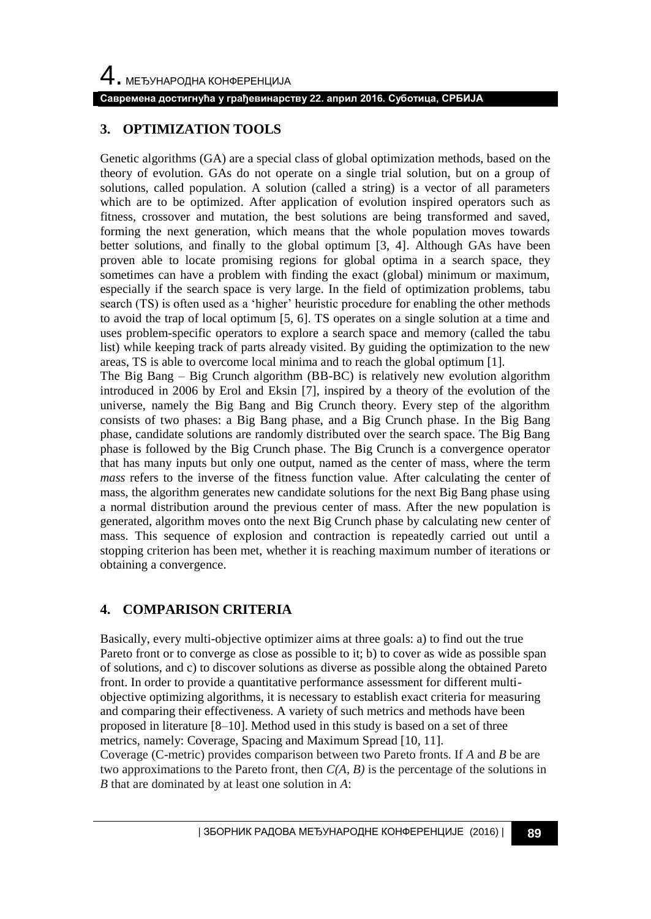#### **Савремена достигнућа у грађевинарству 22. април 2016. Суботица, СРБИЈА**

## **3. OPTIMIZATION TOOLS**

Genetic algorithms (GA) are a special class of global optimization methods, based on the theory of evolution. GAs do not operate on a single trial solution, but on a group of solutions, called population. A solution (called a string) is a vector of all parameters which are to be optimized. After application of evolution inspired operators such as fitness, crossover and mutation, the best solutions are being transformed and saved, forming the next generation, which means that the whole population moves towards better solutions, and finally to the global optimum [3, 4]. Although GAs have been proven able to locate promising regions for global optima in a search space, they sometimes can have a problem with finding the exact (global) minimum or maximum, especially if the search space is very large. In the field of optimization problems, tabu search (TS) is often used as a 'higher' heuristic procedure for enabling the other methods to avoid the trap of local optimum [5, 6]. TS operates on a single solution at a time and uses problem-specific operators to explore a search space and memory (called the tabu list) while keeping track of parts already visited. By guiding the optimization to the new areas, TS is able to overcome local minima and to reach the global optimum [1].

The Big Bang – Big Crunch algorithm (BB-BC) is relatively new evolution algorithm introduced in 2006 by Erol and Eksin [7], inspired by a theory of the evolution of the universe, namely the Big Bang and Big Crunch theory. Every step of the algorithm consists of two phases: a Big Bang phase, and a Big Crunch phase. In the Big Bang phase, candidate solutions are randomly distributed over the search space. The Big Bang phase is followed by the Big Crunch phase. The Big Crunch is a convergence operator that has many inputs but only one output, named as the center of mass, where the term *mass* refers to the inverse of the fitness function value. After calculating the center of mass, the algorithm generates new candidate solutions for the next Big Bang phase using a normal distribution around the previous center of mass. After the new population is generated, algorithm moves onto the next Big Crunch phase by calculating new center of mass. This sequence of explosion and contraction is repeatedly carried out until a stopping criterion has been met, whether it is reaching maximum number of iterations or obtaining a convergence.

## **4. COMPARISON CRITERIA**

Basically, every multi-objective optimizer aims at three goals: a) to find out the true Pareto front or to converge as close as possible to it; b) to cover as wide as possible span of solutions, and c) to discover solutions as diverse as possible along the obtained Pareto front. In order to provide a quantitative performance assessment for different multiobjective optimizing algorithms, it is necessary to establish exact criteria for measuring and comparing their effectiveness. A variety of such metrics and methods have been proposed in literature [8–10]. Method used in this study is based on a set of three metrics, namely: Coverage, Spacing and Maximum Spread [10, 11].

Coverage (C-metric) provides comparison between two Pareto fronts. If *A* and *B* be are two approximations to the Pareto front, then *C(A, B)* is the percentage of the solutions in *B* that are dominated by at least one solution in *A*: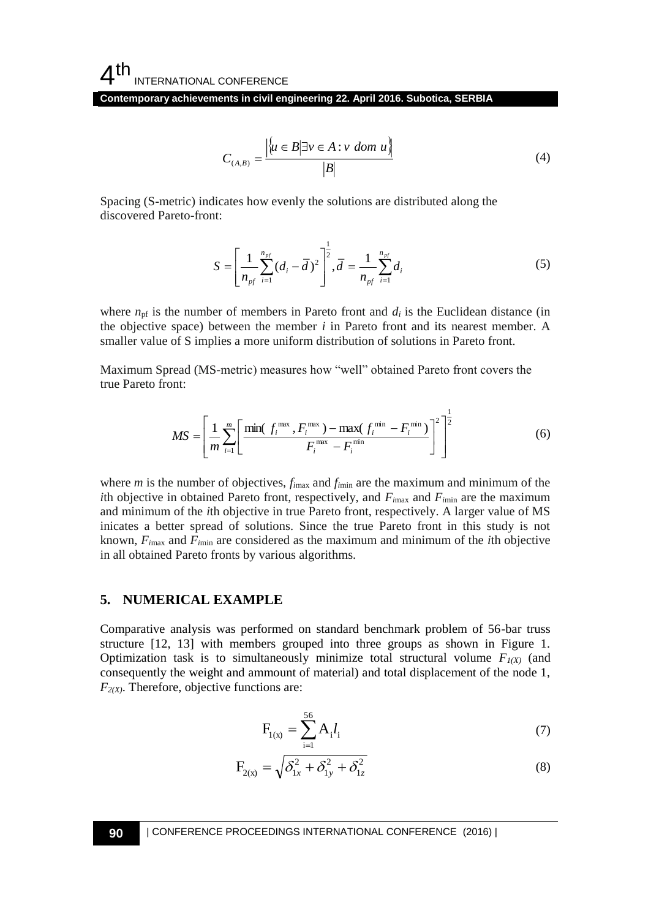#### $4<sup>th</sup>$ INTERNATIONAL CONFERENCE **Contemporary achievements in civil engineering 22. April 2016. Subotica, SERBIA**

$$
C_{(A,B)} = \frac{\left| \{ u \in B \middle| \exists v \in A : v \text{ dom } u \right\} \right|}{|B|} \tag{4}
$$

Spacing (S-metric) indicates how evenly the solutions are distributed along the discovered Pareto-front:

$$
S = \left[\frac{1}{n_{pf}} \sum_{i=1}^{n_{pf}} (d_i - \overline{d})^2\right]^{\frac{1}{2}}, \overline{d} = \frac{1}{n_{pf}} \sum_{i=1}^{n_{pf}} d_i
$$
 (5)

where  $n_{pf}$  is the number of members in Pareto front and  $d_i$  is the Euclidean distance (in the objective space) between the member *i* in Pareto front and its nearest member. A smaller value of S implies a more uniform distribution of solutions in Pareto front.

Maximum Spread (MS-metric) measures how "well" obtained Pareto front covers the true Pareto front:

$$
MS = \left[ \frac{1}{m} \sum_{i=1}^{m} \left[ \frac{\min(\ f_i^{\max}, F_i^{\max}) - \max(\ f_i^{\min} - F_i^{\min})}{F_i^{\max} - F_i^{\min}} \right]^2 \right]^{\frac{1}{2}}
$$
(6)

 $C_{(A,B)} = \left[\frac{|\mathbf{q} \in B||\exists v \in A : v \text{ } dom \mathbf{u}|\right]}{|\mathbf{B}|}$ <br>
pacing (S-metric) indicates how evenly the solutions are distributed along the<br>
scovered Pareto-Front:<br>  $S = \left[\frac{1}{n_{gt}} \sum_{i=1}^{n_{gt}} (d_i - \overline{d})^2\right]^2$ ,  $\overline{d} = \frac{1}{n_{gt$ where *m* is the number of objectives,  $f_{i\text{max}}$  and  $f_{i\text{min}}$  are the maximum and minimum of the *i*th objective in obtained Pareto front, respectively, and  $F_{\text{max}}$  and  $F_{\text{min}}$  are the maximum and minimum of the *i*th objective in true Pareto front, respectively. A larger value of MS inicates a better spread of solutions. Since the true Pareto front in this study is not known, *Fi*max and *Fi*min are considered as the maximum and minimum of the *i*th objective in all obtained Pareto fronts by various algorithms.

### **5. NUMERICAL EXAMPLE**

Comparative analysis was performed on standard benchmark problem of 56-bar truss structure [12, 13] with members grouped into three groups as shown in Figure 1. Optimization task is to simultaneously minimize total structural volume  $F_{I(X)}$  (and consequently the weight and ammount of material) and total displacement of the node 1, *F2(X)*. Therefore, objective functions are:

$$
F_{1(x)} = \sum_{i=1}^{56} A_i l_i \tag{7}
$$

$$
F_{2(x)} = \sqrt{\delta_{1x}^2 + \delta_{1y}^2 + \delta_{1z}^2}
$$
 (8)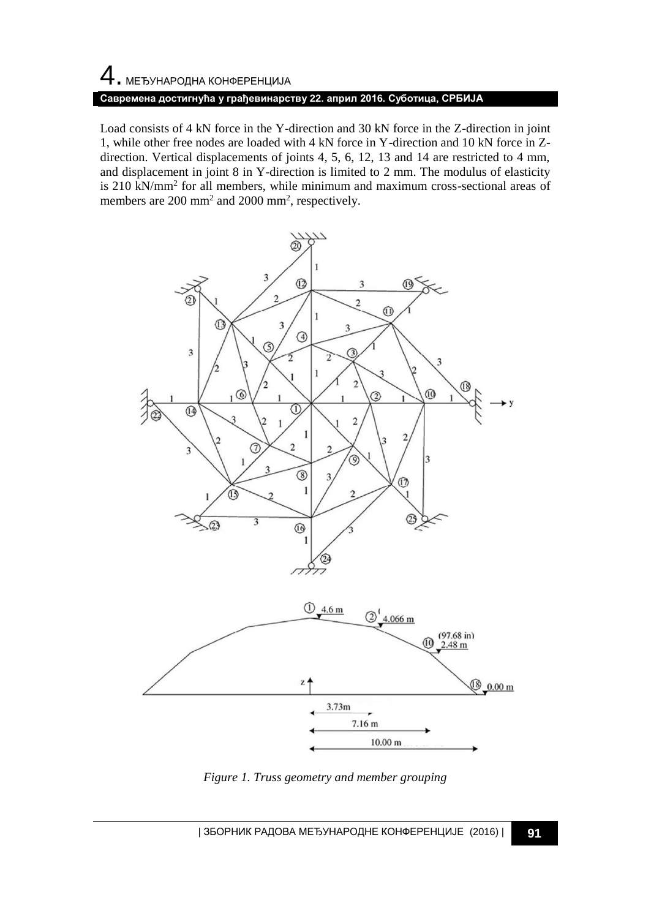# 4. МЕЂУНАРОДНА КОНФЕРЕНЦИЈА **Савремена достигнућа у грађевинарству 22. април 2016. Суботица, СРБИЈА**

Load consists of 4 kN force in the Y-direction and 30 kN force in the Z-direction in joint 1, while other free nodes are loaded with 4 kN force in Y-direction and 10 kN force in Zdirection. Vertical displacements of joints 4, 5, 6, 12, 13 and 14 are restricted to 4 mm, and displacement in joint 8 in Y-direction is limited to 2 mm. The modulus of elasticity is 210 kN/mm<sup>2</sup> for all members, while minimum and maximum cross-sectional areas of members are  $200 \text{ mm}^2$  and  $2000 \text{ mm}^2$ , respectively.



*Figure 1. Truss geometry and member grouping*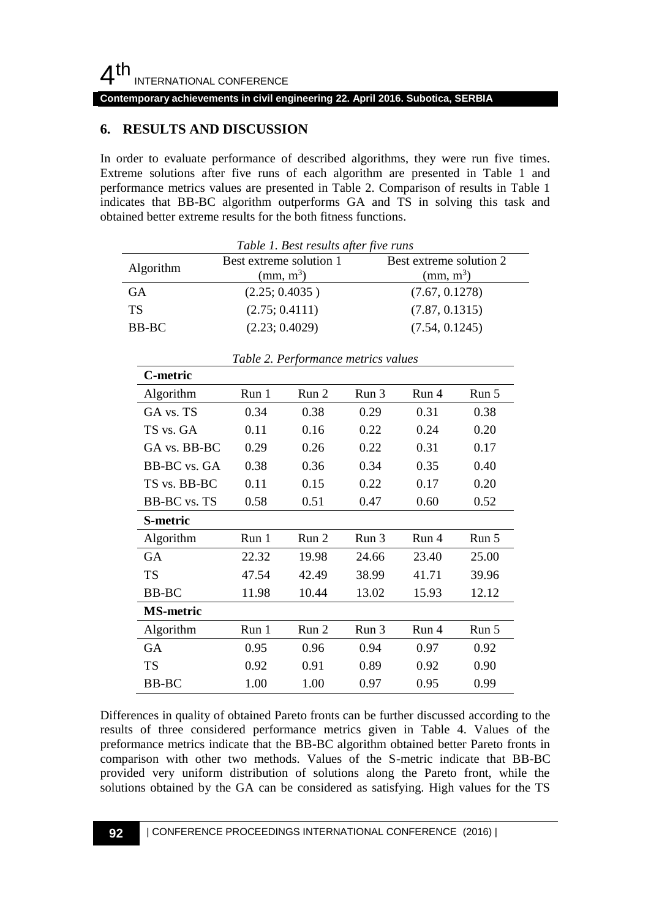**Contemporary achievements in civil engineering 22. April 2016. Subotica, SERBIA**

### **6. RESULTS AND DISCUSSION**

In order to evaluate performance of described algorithms, they were run five times. Extreme solutions after five runs of each algorithm are presented in Table 1 and performance metrics values are presented in Table 2. Comparison of results in Table 1 indicates that BB-BC algorithm outperforms GA and TS in solving this task and obtained better extreme results for the both fitness functions.

| Table 1. Best results after five runs |                                               |                                               |  |  |  |  |
|---------------------------------------|-----------------------------------------------|-----------------------------------------------|--|--|--|--|
| Algorithm                             | Best extreme solution 1<br>$\text{(mm, m}^3)$ | Best extreme solution 2<br>$\text{(mm, m}^3)$ |  |  |  |  |
| GА                                    | (2.25; 0.4035)                                | (7.67, 0.1278)                                |  |  |  |  |
| TS                                    | (2.75; 0.4111)                                | (7.87, 0.1315)                                |  |  |  |  |
| BB-BC                                 | (2.23; 0.4029)                                | (7.54, 0.1245)                                |  |  |  |  |

| C-metric            |       |       |       |       |       |  |
|---------------------|-------|-------|-------|-------|-------|--|
| Algorithm           | Run 1 | Run 2 | Run 3 | Run 4 | Run 5 |  |
| GA vs. TS           | 0.34  | 0.38  | 0.29  | 0.31  | 0.38  |  |
| TS vs. GA           | 0.11  | 0.16  | 0.22  | 0.24  | 0.20  |  |
| GA vs. BB-BC        | 0.29  | 0.26  | 0.22  | 0.31  | 0.17  |  |
| BB-BC vs. GA        | 0.38  | 0.36  | 0.34  | 0.35  | 0.40  |  |
| TS vs. BB-BC        | 0.11  | 0.15  | 0.22  | 0.17  | 0.20  |  |
| <b>BB-BC</b> vs. TS | 0.58  | 0.51  | 0.47  | 0.60  | 0.52  |  |
| S-metric            |       |       |       |       |       |  |
| Algorithm           | Run 1 | Run 2 | Run 3 | Run 4 | Run 5 |  |
| GА                  | 22.32 | 19.98 | 24.66 | 23.40 | 25.00 |  |
| TS                  | 47.54 | 42.49 | 38.99 | 41.71 | 39.96 |  |
| <b>BB-BC</b>        | 11.98 | 10.44 | 13.02 | 15.93 | 12.12 |  |
| <b>MS-metric</b>    |       |       |       |       |       |  |
| Algorithm           | Run 1 | Run 2 | Run 3 | Run 4 | Run 5 |  |
| <b>GA</b>           | 0.95  | 0.96  | 0.94  | 0.97  | 0.92  |  |
| TS                  | 0.92  | 0.91  | 0.89  | 0.92  | 0.90  |  |
| <b>BB-BC</b>        | 1.00  | 1.00  | 0.97  | 0.95  | 0.99  |  |

Differences in quality of obtained Pareto fronts can be further discussed according to the results of three considered performance metrics given in Table 4. Values of the preformance metrics indicate that the BB-BC algorithm obtained better Pareto fronts in comparison with other two methods. Values of the S-metric indicate that BB-BC provided very uniform distribution of solutions along the Pareto front, while the solutions obtained by the GA can be considered as satisfying. High values for the TS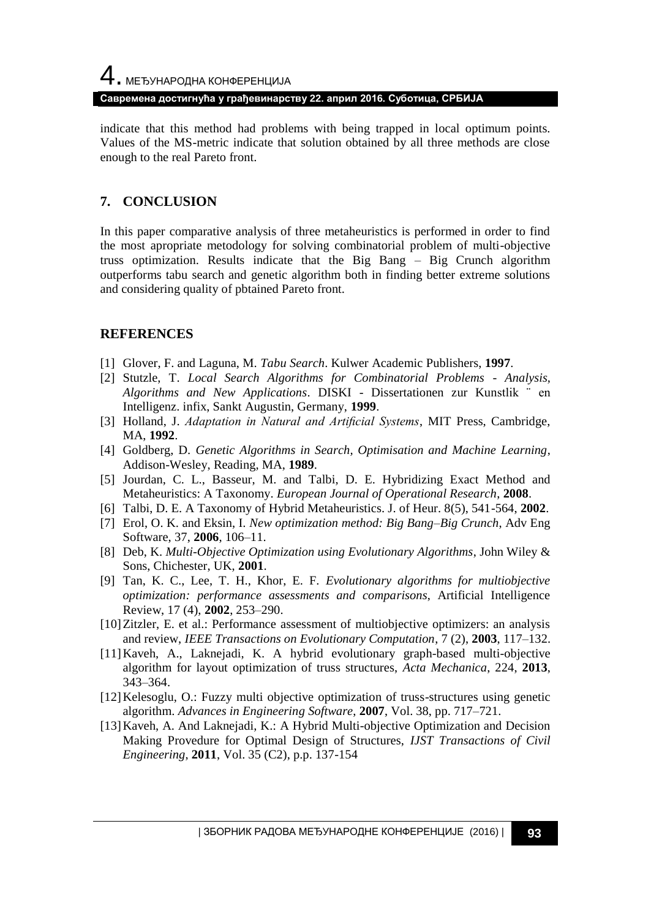# 4. МЕЂУНАРОДНА КОНФЕРЕНЦИЈА **Савремена достигнућа у грађевинарству 22. април 2016. Суботица, СРБИЈА**

indicate that this method had problems with being trapped in local optimum points. Values of the MS-metric indicate that solution obtained by all three methods are close enough to the real Pareto front.

## **7. CONCLUSION**

In this paper comparative analysis of three metaheuristics is performed in order to find the most apropriate metodology for solving combinatorial problem of multi-objective truss optimization. Results indicate that the Big Bang – Big Crunch algorithm outperforms tabu search and genetic algorithm both in finding better extreme solutions and considering quality of pbtained Pareto front.

### **REFERENCES**

- [1] Glover, F. and Laguna, M. *Tabu Search*. Kulwer Academic Publishers, **1997**.
- [2] Stutzle, T. *Local Search Algorithms for Combinatorial Problems - Analysis, Algorithms and New Applications*. DISKI - Dissertationen zur Kunstlik ¨ en Intelligenz. infix, Sankt Augustin, Germany, **1999**.
- [3] Holland, J. *Adaptation in Natural and Artificial Systems*, MIT Press, Cambridge, MA, **1992**.
- [4] Goldberg, D. *Genetic Algorithms in Search, Optimisation and Machine Learning*, Addison-Wesley, Reading, MA, **1989**.
- [5] Jourdan, C. L., Basseur, M. and Talbi, D. E. Hybridizing Exact Method and Metaheuristics: A Taxonomy. *European Journal of Operational Research*, **2008**.
- [6] Talbi, D. E. A Taxonomy of Hybrid Metaheuristics. J. of Heur. 8(5), 541-564, **2002**.
- [7] Erol, O. K. and Eksin, I. *New optimization method: Big Bang–Big Crunch*, Adv Eng Software, 37, **2006**, 106–11.
- [8] Deb, K. *Multi-Objective Optimization using Evolutionary Algorithms*, John Wiley & Sons, Chichester, UK, **2001**.
- [9] Tan, K. C., Lee, T. H., Khor, E. F. *Evolutionary algorithms for multiobjective optimization: performance assessments and comparisons*, Artificial Intelligence Review, 17 (4), **2002**, 253–290.
- [10]Zitzler, E. et al.: Performance assessment of multiobjective optimizers: an analysis and review, *IEEE Transactions on Evolutionary Computation*, 7 (2), **2003**, 117–132.
- [11]Kaveh, A., Laknejadi, K. A hybrid evolutionary graph-based multi-objective algorithm for layout optimization of truss structures, *Acta Mechanica*, 224, **2013**, 343–364.
- [12]Kelesoglu, O.: Fuzzy multi objective optimization of truss-structures using genetic algorithm. *Advances in Engineering Software*, **2007**, Vol. 38, pp. 717–721.
- [13]Kaveh, A. And Laknejadi, K.: A Hybrid Multi-objective Optimization and Decision Making Provedure for Optimal Design of Structures, *IJST Transactions of Civil Engineering*, **2011**, Vol. 35 (C2), p.p. 137-154